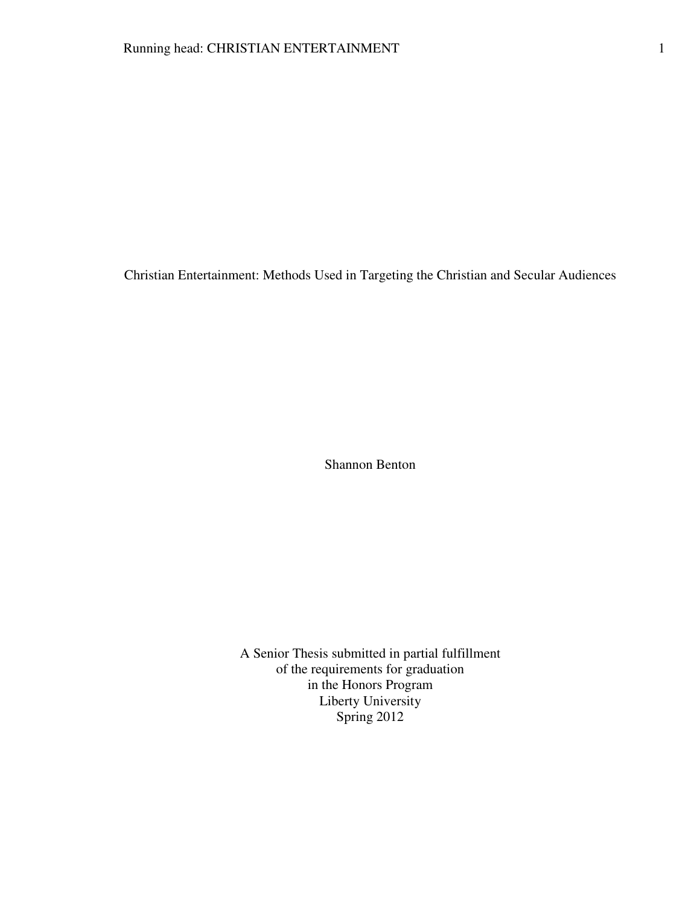Christian Entertainment: Methods Used in Targeting the Christian and Secular Audiences

Shannon Benton

A Senior Thesis submitted in partial fulfillment of the requirements for graduation in the Honors Program Liberty University Spring 2012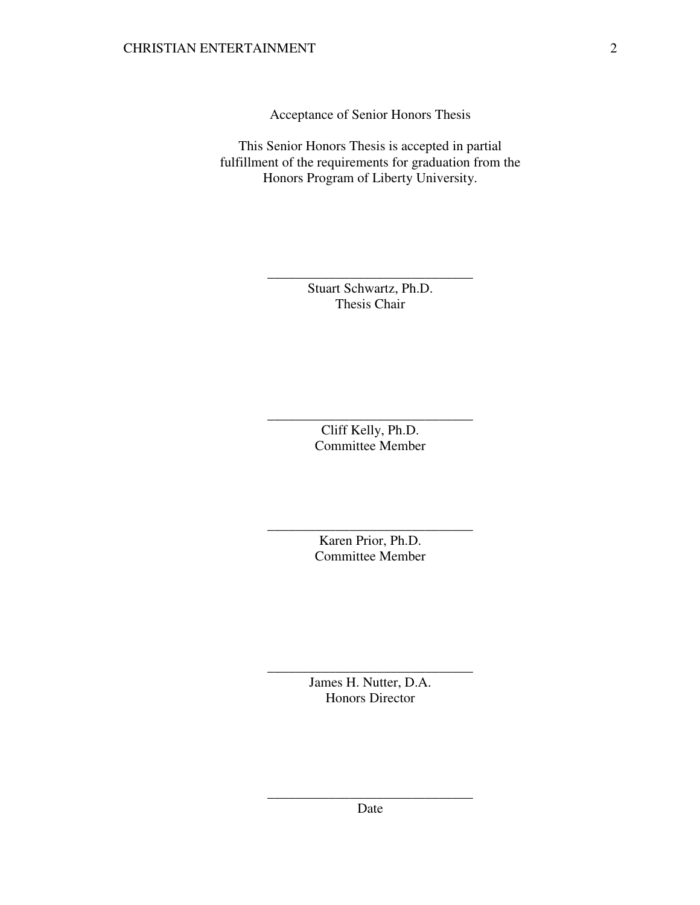Acceptance of Senior Honors Thesis

This Senior Honors Thesis is accepted in partial fulfillment of the requirements for graduation from the Honors Program of Liberty University.

> Stuart Schwartz, Ph.D. Thesis Chair

\_\_\_\_\_\_\_\_\_\_\_\_\_\_\_\_\_\_\_\_\_\_\_\_\_\_\_\_\_\_

Cliff Kelly, Ph.D. Committee Member

\_\_\_\_\_\_\_\_\_\_\_\_\_\_\_\_\_\_\_\_\_\_\_\_\_\_\_\_\_\_

Karen Prior, Ph.D. Committee Member

\_\_\_\_\_\_\_\_\_\_\_\_\_\_\_\_\_\_\_\_\_\_\_\_\_\_\_\_\_\_

James H. Nutter, D.A. Honors Director

\_\_\_\_\_\_\_\_\_\_\_\_\_\_\_\_\_\_\_\_\_\_\_\_\_\_\_\_\_\_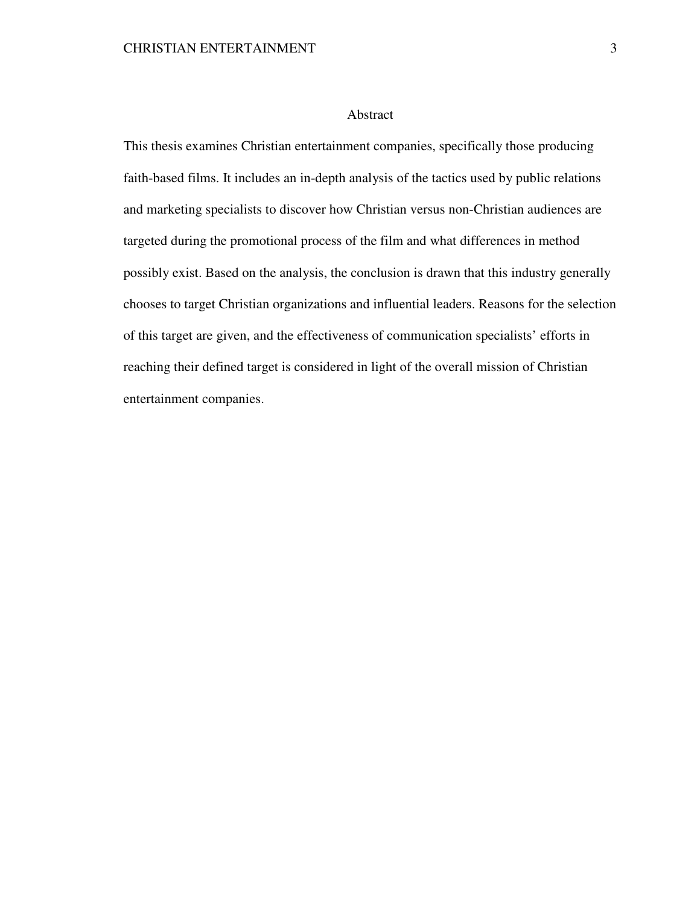## Abstract

This thesis examines Christian entertainment companies, specifically those producing faith-based films. It includes an in-depth analysis of the tactics used by public relations and marketing specialists to discover how Christian versus non-Christian audiences are targeted during the promotional process of the film and what differences in method possibly exist. Based on the analysis, the conclusion is drawn that this industry generally chooses to target Christian organizations and influential leaders. Reasons for the selection of this target are given, and the effectiveness of communication specialists' efforts in reaching their defined target is considered in light of the overall mission of Christian entertainment companies.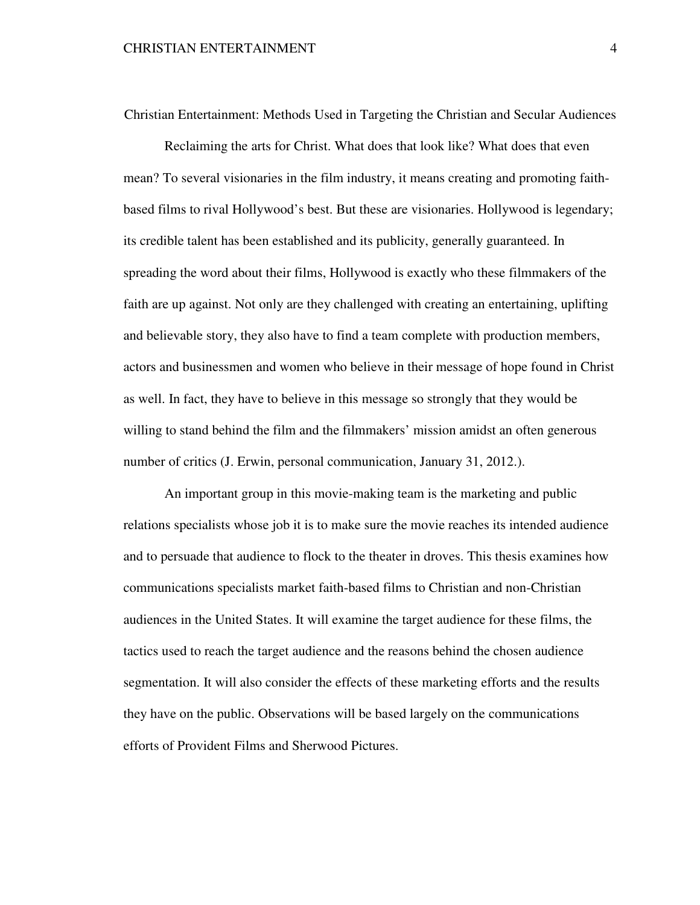Christian Entertainment: Methods Used in Targeting the Christian and Secular Audiences

 Reclaiming the arts for Christ. What does that look like? What does that even mean? To several visionaries in the film industry, it means creating and promoting faithbased films to rival Hollywood's best. But these are visionaries. Hollywood is legendary; its credible talent has been established and its publicity, generally guaranteed. In spreading the word about their films, Hollywood is exactly who these filmmakers of the faith are up against. Not only are they challenged with creating an entertaining, uplifting and believable story, they also have to find a team complete with production members, actors and businessmen and women who believe in their message of hope found in Christ as well. In fact, they have to believe in this message so strongly that they would be willing to stand behind the film and the filmmakers' mission amidst an often generous number of critics (J. Erwin, personal communication, January 31, 2012.).

 An important group in this movie-making team is the marketing and public relations specialists whose job it is to make sure the movie reaches its intended audience and to persuade that audience to flock to the theater in droves. This thesis examines how communications specialists market faith-based films to Christian and non-Christian audiences in the United States. It will examine the target audience for these films, the tactics used to reach the target audience and the reasons behind the chosen audience segmentation. It will also consider the effects of these marketing efforts and the results they have on the public. Observations will be based largely on the communications efforts of Provident Films and Sherwood Pictures.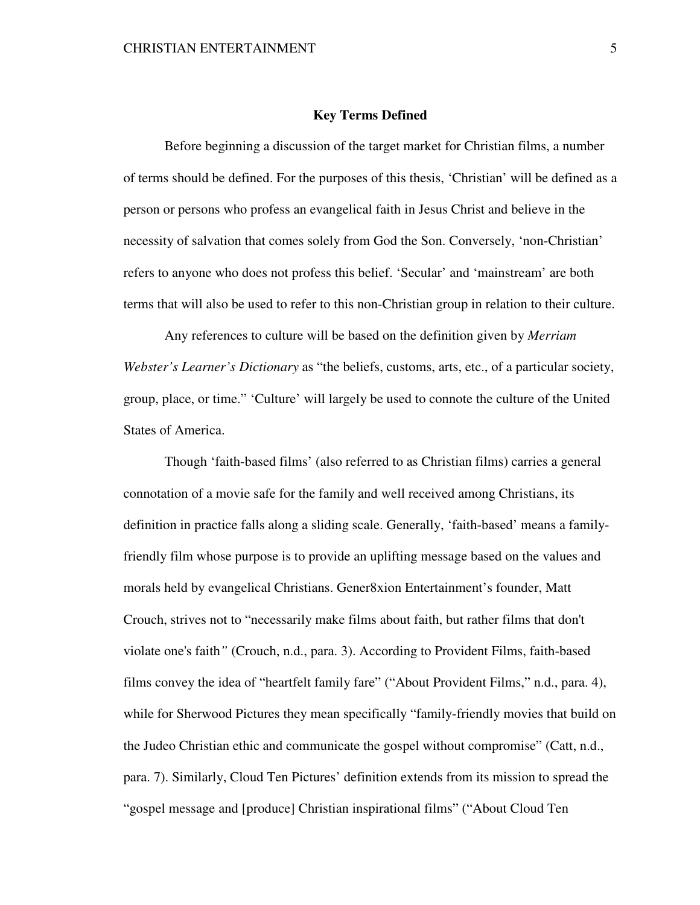### **Key Terms Defined**

 Before beginning a discussion of the target market for Christian films, a number of terms should be defined. For the purposes of this thesis, 'Christian' will be defined as a person or persons who profess an evangelical faith in Jesus Christ and believe in the necessity of salvation that comes solely from God the Son. Conversely, 'non-Christian' refers to anyone who does not profess this belief. 'Secular' and 'mainstream' are both terms that will also be used to refer to this non-Christian group in relation to their culture.

 Any references to culture will be based on the definition given by *Merriam Webster's Learner's Dictionary* as "the beliefs, customs, arts, etc., of a particular society, group, place, or time." 'Culture' will largely be used to connote the culture of the United States of America.

 Though 'faith-based films' (also referred to as Christian films) carries a general connotation of a movie safe for the family and well received among Christians, its definition in practice falls along a sliding scale. Generally, 'faith-based' means a familyfriendly film whose purpose is to provide an uplifting message based on the values and morals held by evangelical Christians. Gener8xion Entertainment's founder, Matt Crouch, strives not to "necessarily make films about faith, but rather films that don't violate one's faith*"* (Crouch, n.d., para. 3). According to Provident Films, faith-based films convey the idea of "heartfelt family fare" ("About Provident Films," n.d., para. 4), while for Sherwood Pictures they mean specifically "family-friendly movies that build on the Judeo Christian ethic and communicate the gospel without compromise" (Catt, n.d., para. 7). Similarly, Cloud Ten Pictures' definition extends from its mission to spread the "gospel message and [produce] Christian inspirational films" ("About Cloud Ten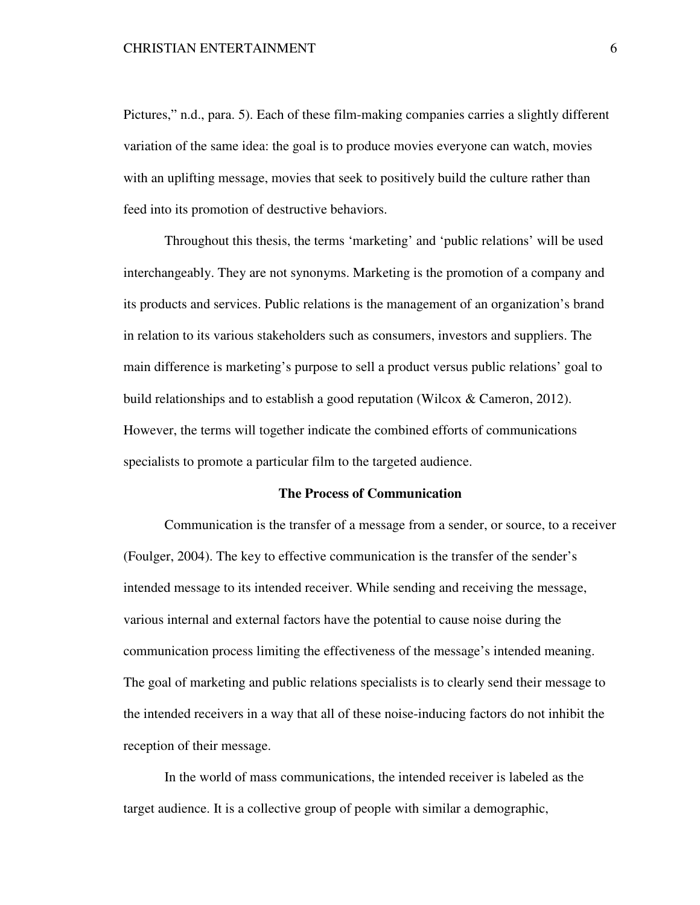Pictures," n.d., para. 5). Each of these film-making companies carries a slightly different variation of the same idea: the goal is to produce movies everyone can watch, movies with an uplifting message, movies that seek to positively build the culture rather than feed into its promotion of destructive behaviors.

 Throughout this thesis, the terms 'marketing' and 'public relations' will be used interchangeably. They are not synonyms. Marketing is the promotion of a company and its products and services. Public relations is the management of an organization's brand in relation to its various stakeholders such as consumers, investors and suppliers. The main difference is marketing's purpose to sell a product versus public relations' goal to build relationships and to establish a good reputation (Wilcox & Cameron, 2012). However, the terms will together indicate the combined efforts of communications specialists to promote a particular film to the targeted audience.

# **The Process of Communication**

 Communication is the transfer of a message from a sender, or source, to a receiver (Foulger, 2004). The key to effective communication is the transfer of the sender's intended message to its intended receiver. While sending and receiving the message, various internal and external factors have the potential to cause noise during the communication process limiting the effectiveness of the message's intended meaning. The goal of marketing and public relations specialists is to clearly send their message to the intended receivers in a way that all of these noise-inducing factors do not inhibit the reception of their message.

 In the world of mass communications, the intended receiver is labeled as the target audience. It is a collective group of people with similar a demographic,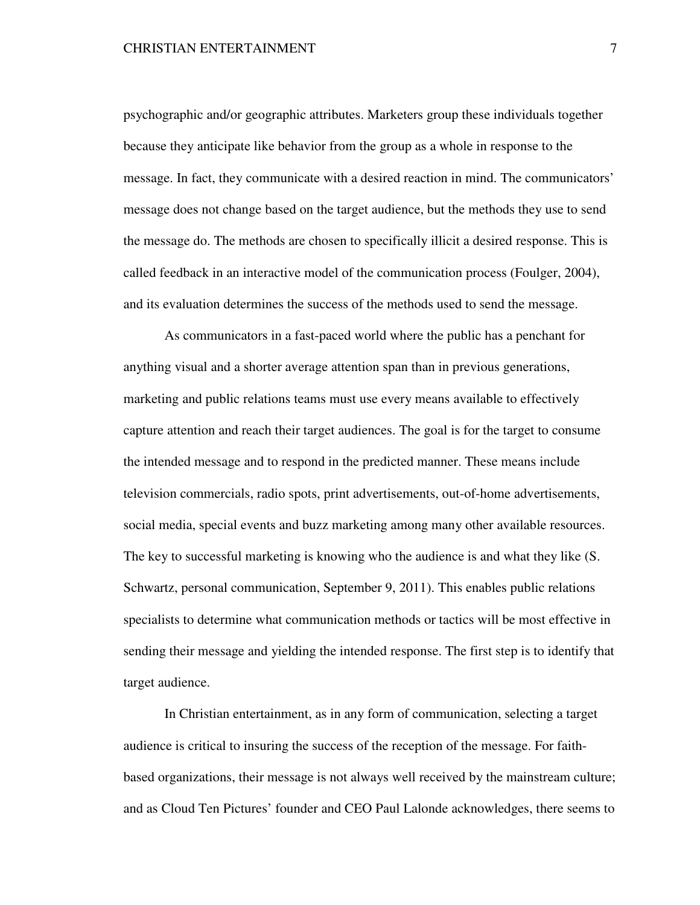psychographic and/or geographic attributes. Marketers group these individuals together because they anticipate like behavior from the group as a whole in response to the message. In fact, they communicate with a desired reaction in mind. The communicators' message does not change based on the target audience, but the methods they use to send the message do. The methods are chosen to specifically illicit a desired response. This is called feedback in an interactive model of the communication process (Foulger, 2004), and its evaluation determines the success of the methods used to send the message.

 As communicators in a fast-paced world where the public has a penchant for anything visual and a shorter average attention span than in previous generations, marketing and public relations teams must use every means available to effectively capture attention and reach their target audiences. The goal is for the target to consume the intended message and to respond in the predicted manner. These means include television commercials, radio spots, print advertisements, out-of-home advertisements, social media, special events and buzz marketing among many other available resources. The key to successful marketing is knowing who the audience is and what they like (S. Schwartz, personal communication, September 9, 2011). This enables public relations specialists to determine what communication methods or tactics will be most effective in sending their message and yielding the intended response. The first step is to identify that target audience.

 In Christian entertainment, as in any form of communication, selecting a target audience is critical to insuring the success of the reception of the message. For faithbased organizations, their message is not always well received by the mainstream culture; and as Cloud Ten Pictures' founder and CEO Paul Lalonde acknowledges, there seems to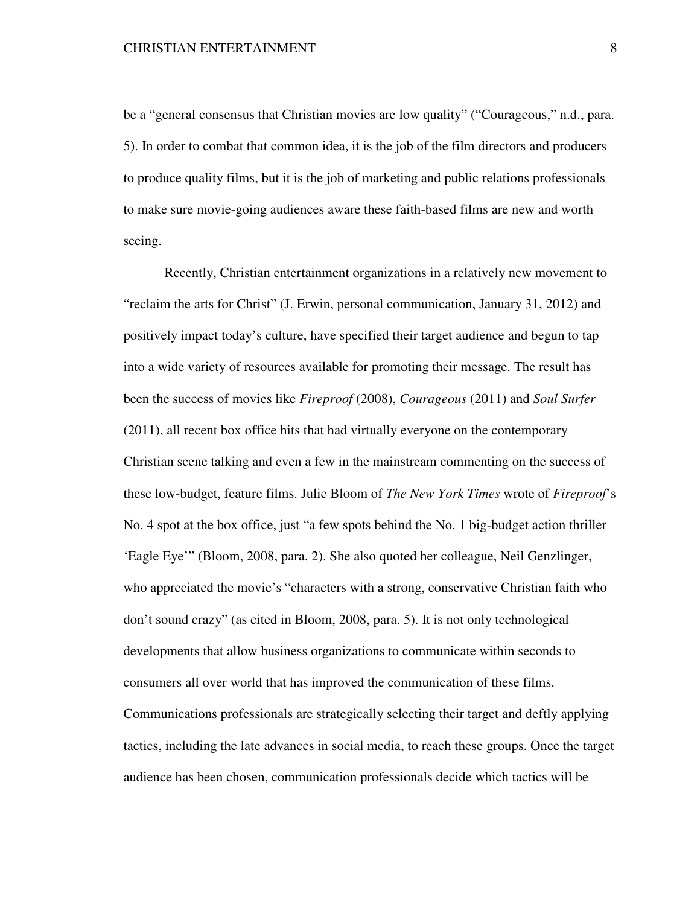be a "general consensus that Christian movies are low quality" ("Courageous," n.d., para. 5). In order to combat that common idea, it is the job of the film directors and producers to produce quality films, but it is the job of marketing and public relations professionals to make sure movie-going audiences aware these faith-based films are new and worth seeing.

 Recently, Christian entertainment organizations in a relatively new movement to "reclaim the arts for Christ" (J. Erwin, personal communication, January 31, 2012) and positively impact today's culture, have specified their target audience and begun to tap into a wide variety of resources available for promoting their message. The result has been the success of movies like *Fireproof* (2008), *Courageous* (2011) and *Soul Surfer*  (2011), all recent box office hits that had virtually everyone on the contemporary Christian scene talking and even a few in the mainstream commenting on the success of these low-budget, feature films. Julie Bloom of *The New York Times* wrote of *Fireproof*'s No. 4 spot at the box office, just "a few spots behind the No. 1 big-budget action thriller 'Eagle Eye'" (Bloom, 2008, para. 2). She also quoted her colleague, Neil Genzlinger, who appreciated the movie's "characters with a strong, conservative Christian faith who don't sound crazy" (as cited in Bloom, 2008, para. 5). It is not only technological developments that allow business organizations to communicate within seconds to consumers all over world that has improved the communication of these films. Communications professionals are strategically selecting their target and deftly applying tactics, including the late advances in social media, to reach these groups. Once the target audience has been chosen, communication professionals decide which tactics will be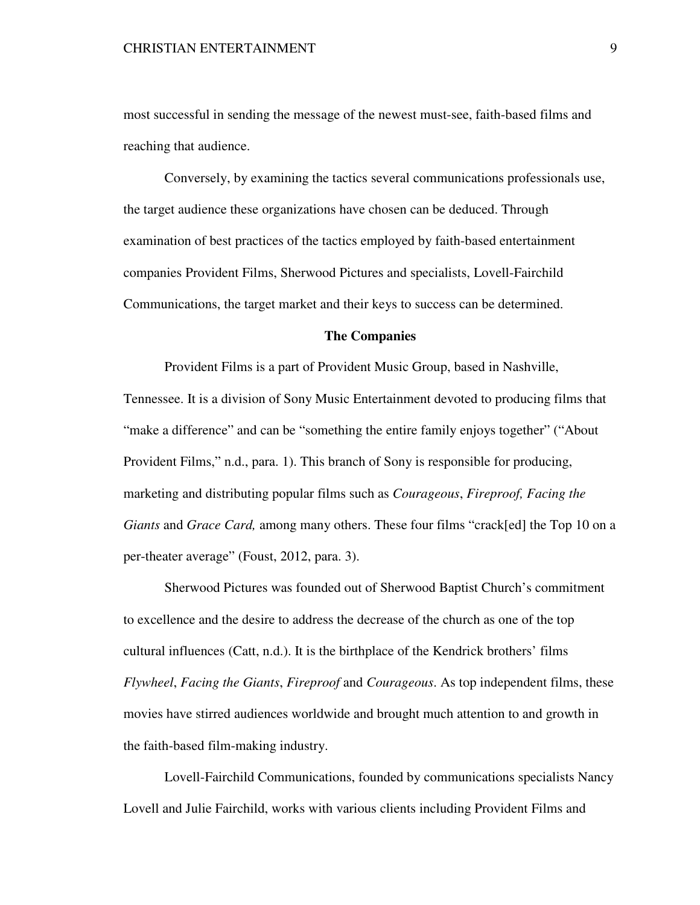most successful in sending the message of the newest must-see, faith-based films and reaching that audience.

Conversely, by examining the tactics several communications professionals use, the target audience these organizations have chosen can be deduced. Through examination of best practices of the tactics employed by faith-based entertainment companies Provident Films, Sherwood Pictures and specialists, Lovell-Fairchild Communications, the target market and their keys to success can be determined.

# **The Companies**

 Provident Films is a part of Provident Music Group, based in Nashville, Tennessee. It is a division of Sony Music Entertainment devoted to producing films that "make a difference" and can be "something the entire family enjoys together" ("About") Provident Films," n.d., para. 1). This branch of Sony is responsible for producing, marketing and distributing popular films such as *Courageous*, *Fireproof, Facing the Giants* and *Grace Card*, among many others. These four films "crack[ed] the Top 10 on a per-theater average" (Foust, 2012, para. 3).

 Sherwood Pictures was founded out of Sherwood Baptist Church's commitment to excellence and the desire to address the decrease of the church as one of the top cultural influences (Catt, n.d.). It is the birthplace of the Kendrick brothers' films *Flywheel*, *Facing the Giants*, *Fireproof* and *Courageous*. As top independent films, these movies have stirred audiences worldwide and brought much attention to and growth in the faith-based film-making industry.

 Lovell-Fairchild Communications, founded by communications specialists Nancy Lovell and Julie Fairchild, works with various clients including Provident Films and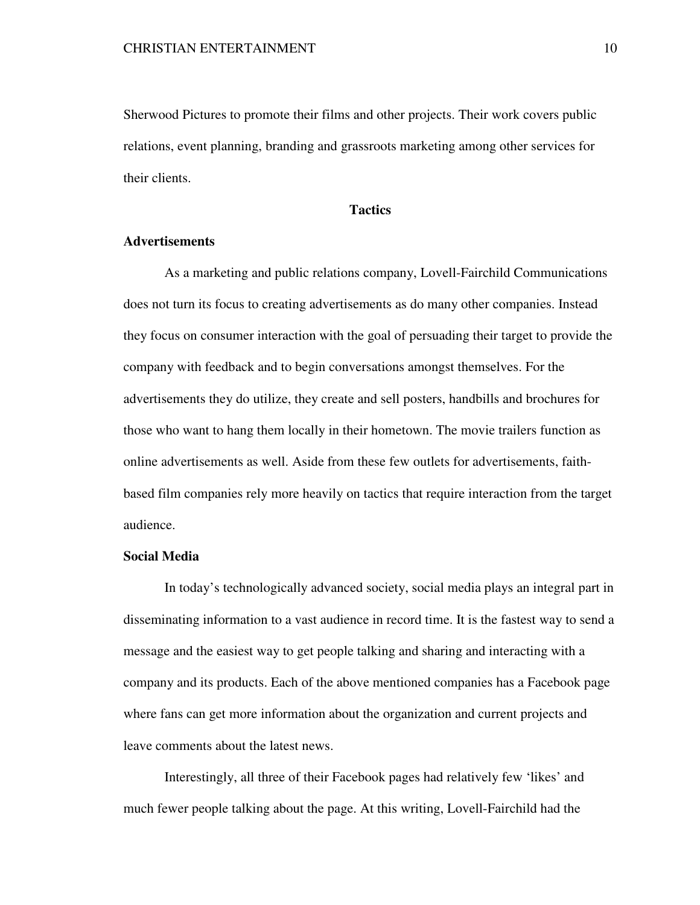Sherwood Pictures to promote their films and other projects. Their work covers public relations, event planning, branding and grassroots marketing among other services for their clients.

# **Tactics**

## **Advertisements**

As a marketing and public relations company, Lovell-Fairchild Communications does not turn its focus to creating advertisements as do many other companies. Instead they focus on consumer interaction with the goal of persuading their target to provide the company with feedback and to begin conversations amongst themselves. For the advertisements they do utilize, they create and sell posters, handbills and brochures for those who want to hang them locally in their hometown. The movie trailers function as online advertisements as well. Aside from these few outlets for advertisements, faithbased film companies rely more heavily on tactics that require interaction from the target audience.

### **Social Media**

 In today's technologically advanced society, social media plays an integral part in disseminating information to a vast audience in record time. It is the fastest way to send a message and the easiest way to get people talking and sharing and interacting with a company and its products. Each of the above mentioned companies has a Facebook page where fans can get more information about the organization and current projects and leave comments about the latest news.

Interestingly, all three of their Facebook pages had relatively few 'likes' and much fewer people talking about the page. At this writing, Lovell-Fairchild had the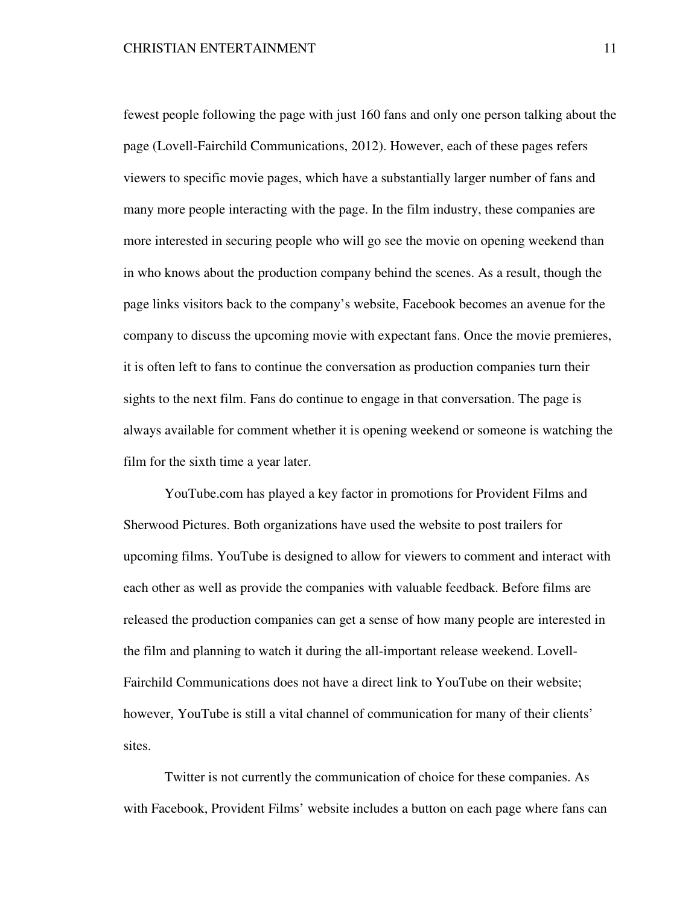fewest people following the page with just 160 fans and only one person talking about the page (Lovell-Fairchild Communications, 2012). However, each of these pages refers viewers to specific movie pages, which have a substantially larger number of fans and many more people interacting with the page. In the film industry, these companies are more interested in securing people who will go see the movie on opening weekend than in who knows about the production company behind the scenes. As a result, though the page links visitors back to the company's website, Facebook becomes an avenue for the company to discuss the upcoming movie with expectant fans. Once the movie premieres, it is often left to fans to continue the conversation as production companies turn their sights to the next film. Fans do continue to engage in that conversation. The page is always available for comment whether it is opening weekend or someone is watching the film for the sixth time a year later.

 YouTube.com has played a key factor in promotions for Provident Films and Sherwood Pictures. Both organizations have used the website to post trailers for upcoming films. YouTube is designed to allow for viewers to comment and interact with each other as well as provide the companies with valuable feedback. Before films are released the production companies can get a sense of how many people are interested in the film and planning to watch it during the all-important release weekend. Lovell-Fairchild Communications does not have a direct link to YouTube on their website; however, YouTube is still a vital channel of communication for many of their clients' sites.

 Twitter is not currently the communication of choice for these companies. As with Facebook, Provident Films' website includes a button on each page where fans can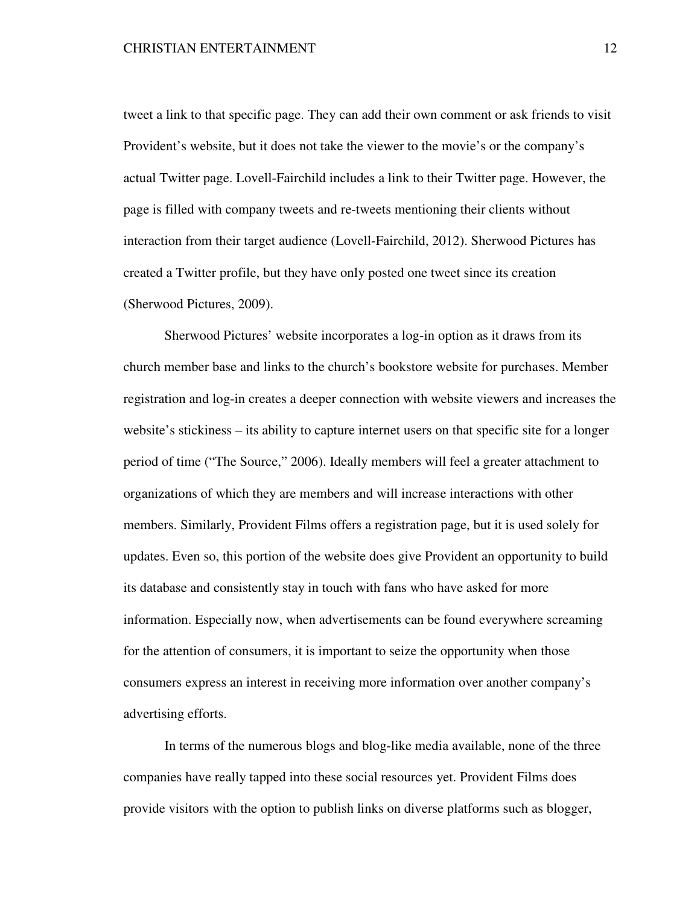tweet a link to that specific page. They can add their own comment or ask friends to visit Provident's website, but it does not take the viewer to the movie's or the company's actual Twitter page. Lovell-Fairchild includes a link to their Twitter page. However, the page is filled with company tweets and re-tweets mentioning their clients without interaction from their target audience (Lovell-Fairchild, 2012). Sherwood Pictures has created a Twitter profile, but they have only posted one tweet since its creation (Sherwood Pictures, 2009).

 Sherwood Pictures' website incorporates a log-in option as it draws from its church member base and links to the church's bookstore website for purchases. Member registration and log-in creates a deeper connection with website viewers and increases the website's stickiness – its ability to capture internet users on that specific site for a longer period of time ("The Source," 2006). Ideally members will feel a greater attachment to organizations of which they are members and will increase interactions with other members. Similarly, Provident Films offers a registration page, but it is used solely for updates. Even so, this portion of the website does give Provident an opportunity to build its database and consistently stay in touch with fans who have asked for more information. Especially now, when advertisements can be found everywhere screaming for the attention of consumers, it is important to seize the opportunity when those consumers express an interest in receiving more information over another company's advertising efforts.

 In terms of the numerous blogs and blog-like media available, none of the three companies have really tapped into these social resources yet. Provident Films does provide visitors with the option to publish links on diverse platforms such as blogger,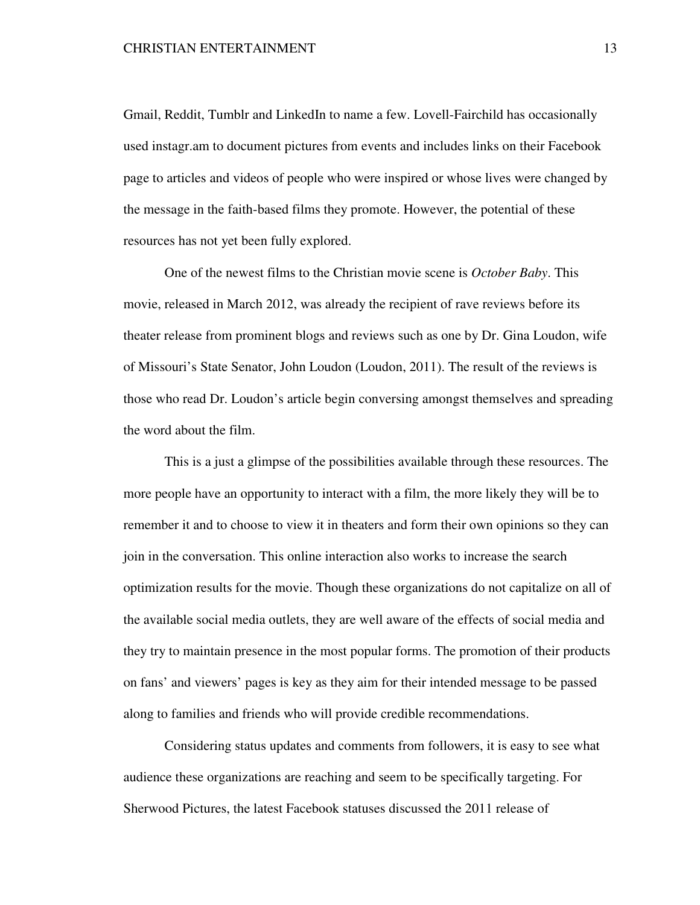Gmail, Reddit, Tumblr and LinkedIn to name a few. Lovell-Fairchild has occasionally used instagr.am to document pictures from events and includes links on their Facebook page to articles and videos of people who were inspired or whose lives were changed by the message in the faith-based films they promote. However, the potential of these resources has not yet been fully explored.

One of the newest films to the Christian movie scene is *October Baby*. This movie, released in March 2012, was already the recipient of rave reviews before its theater release from prominent blogs and reviews such as one by Dr. Gina Loudon, wife of Missouri's State Senator, John Loudon (Loudon, 2011). The result of the reviews is those who read Dr. Loudon's article begin conversing amongst themselves and spreading the word about the film.

This is a just a glimpse of the possibilities available through these resources. The more people have an opportunity to interact with a film, the more likely they will be to remember it and to choose to view it in theaters and form their own opinions so they can join in the conversation. This online interaction also works to increase the search optimization results for the movie. Though these organizations do not capitalize on all of the available social media outlets, they are well aware of the effects of social media and they try to maintain presence in the most popular forms. The promotion of their products on fans' and viewers' pages is key as they aim for their intended message to be passed along to families and friends who will provide credible recommendations.

 Considering status updates and comments from followers, it is easy to see what audience these organizations are reaching and seem to be specifically targeting. For Sherwood Pictures, the latest Facebook statuses discussed the 2011 release of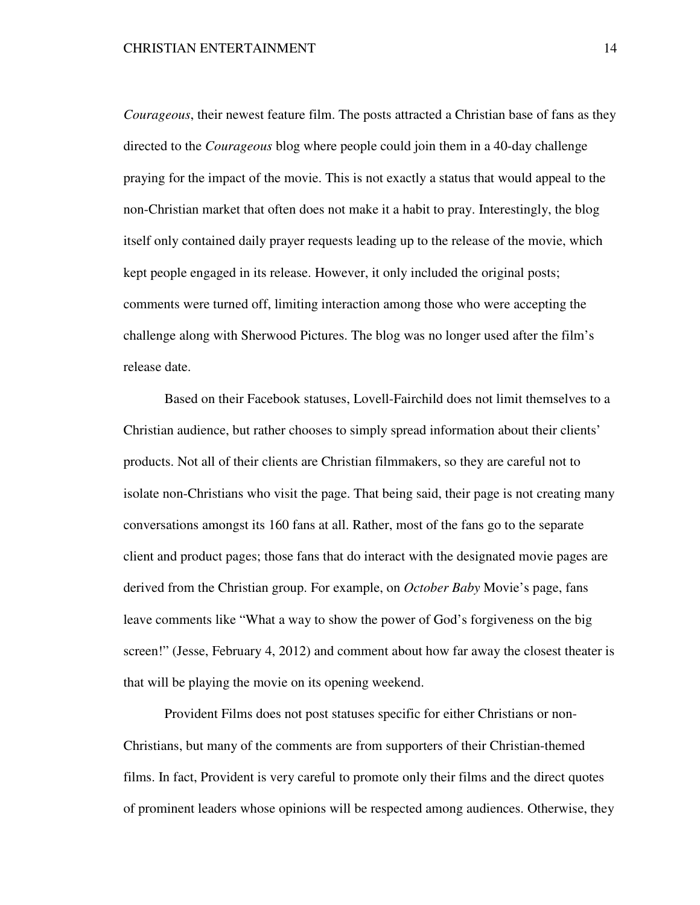*Courageous*, their newest feature film. The posts attracted a Christian base of fans as they directed to the *Courageous* blog where people could join them in a 40-day challenge praying for the impact of the movie. This is not exactly a status that would appeal to the non-Christian market that often does not make it a habit to pray. Interestingly, the blog itself only contained daily prayer requests leading up to the release of the movie, which kept people engaged in its release. However, it only included the original posts; comments were turned off, limiting interaction among those who were accepting the challenge along with Sherwood Pictures. The blog was no longer used after the film's release date.

Based on their Facebook statuses, Lovell-Fairchild does not limit themselves to a Christian audience, but rather chooses to simply spread information about their clients' products. Not all of their clients are Christian filmmakers, so they are careful not to isolate non-Christians who visit the page. That being said, their page is not creating many conversations amongst its 160 fans at all. Rather, most of the fans go to the separate client and product pages; those fans that do interact with the designated movie pages are derived from the Christian group. For example, on *October Baby* Movie's page, fans leave comments like "What a way to show the power of God's forgiveness on the big screen!" (Jesse, February 4, 2012) and comment about how far away the closest theater is that will be playing the movie on its opening weekend.

Provident Films does not post statuses specific for either Christians or non-Christians, but many of the comments are from supporters of their Christian-themed films. In fact, Provident is very careful to promote only their films and the direct quotes of prominent leaders whose opinions will be respected among audiences. Otherwise, they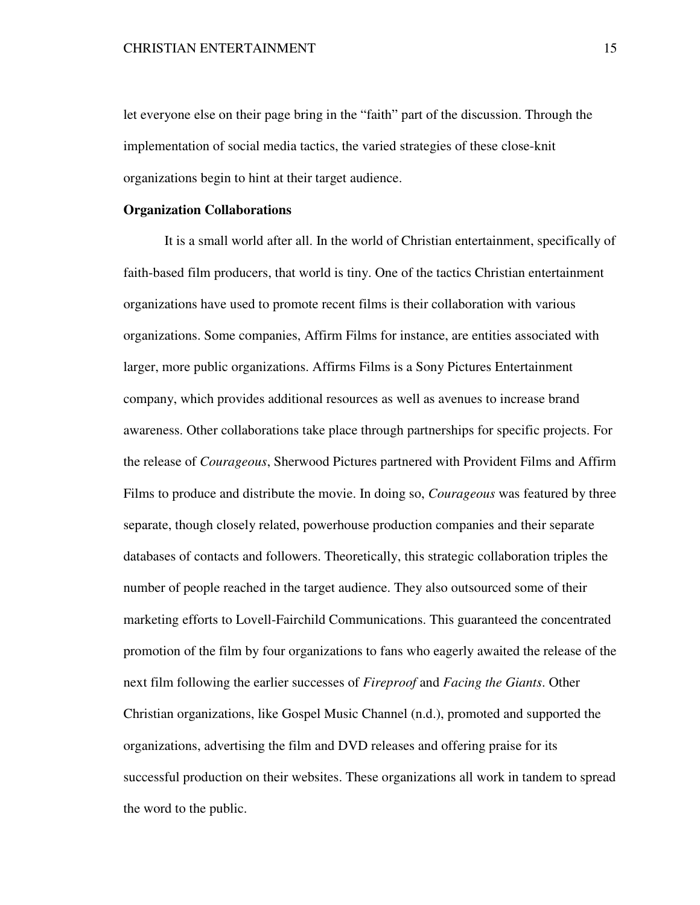let everyone else on their page bring in the "faith" part of the discussion. Through the implementation of social media tactics, the varied strategies of these close-knit organizations begin to hint at their target audience.

## **Organization Collaborations**

 It is a small world after all. In the world of Christian entertainment, specifically of faith-based film producers, that world is tiny. One of the tactics Christian entertainment organizations have used to promote recent films is their collaboration with various organizations. Some companies, Affirm Films for instance, are entities associated with larger, more public organizations. Affirms Films is a Sony Pictures Entertainment company, which provides additional resources as well as avenues to increase brand awareness. Other collaborations take place through partnerships for specific projects. For the release of *Courageous*, Sherwood Pictures partnered with Provident Films and Affirm Films to produce and distribute the movie. In doing so, *Courageous* was featured by three separate, though closely related, powerhouse production companies and their separate databases of contacts and followers. Theoretically, this strategic collaboration triples the number of people reached in the target audience. They also outsourced some of their marketing efforts to Lovell-Fairchild Communications. This guaranteed the concentrated promotion of the film by four organizations to fans who eagerly awaited the release of the next film following the earlier successes of *Fireproof* and *Facing the Giants*. Other Christian organizations, like Gospel Music Channel (n.d.), promoted and supported the organizations, advertising the film and DVD releases and offering praise for its successful production on their websites. These organizations all work in tandem to spread the word to the public.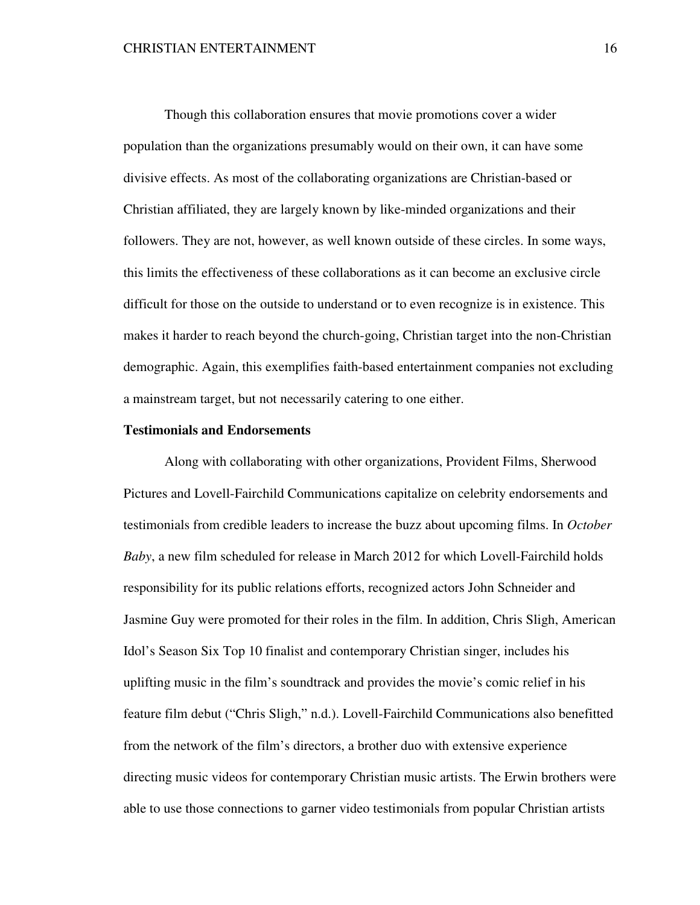Though this collaboration ensures that movie promotions cover a wider population than the organizations presumably would on their own, it can have some divisive effects. As most of the collaborating organizations are Christian-based or Christian affiliated, they are largely known by like-minded organizations and their followers. They are not, however, as well known outside of these circles. In some ways, this limits the effectiveness of these collaborations as it can become an exclusive circle difficult for those on the outside to understand or to even recognize is in existence. This makes it harder to reach beyond the church-going, Christian target into the non-Christian demographic. Again, this exemplifies faith-based entertainment companies not excluding a mainstream target, but not necessarily catering to one either.

### **Testimonials and Endorsements**

 Along with collaborating with other organizations, Provident Films, Sherwood Pictures and Lovell-Fairchild Communications capitalize on celebrity endorsements and testimonials from credible leaders to increase the buzz about upcoming films. In *October Baby*, a new film scheduled for release in March 2012 for which Lovell-Fairchild holds responsibility for its public relations efforts, recognized actors John Schneider and Jasmine Guy were promoted for their roles in the film. In addition, Chris Sligh, American Idol's Season Six Top 10 finalist and contemporary Christian singer, includes his uplifting music in the film's soundtrack and provides the movie's comic relief in his feature film debut ("Chris Sligh," n.d.). Lovell-Fairchild Communications also benefitted from the network of the film's directors, a brother duo with extensive experience directing music videos for contemporary Christian music artists. The Erwin brothers were able to use those connections to garner video testimonials from popular Christian artists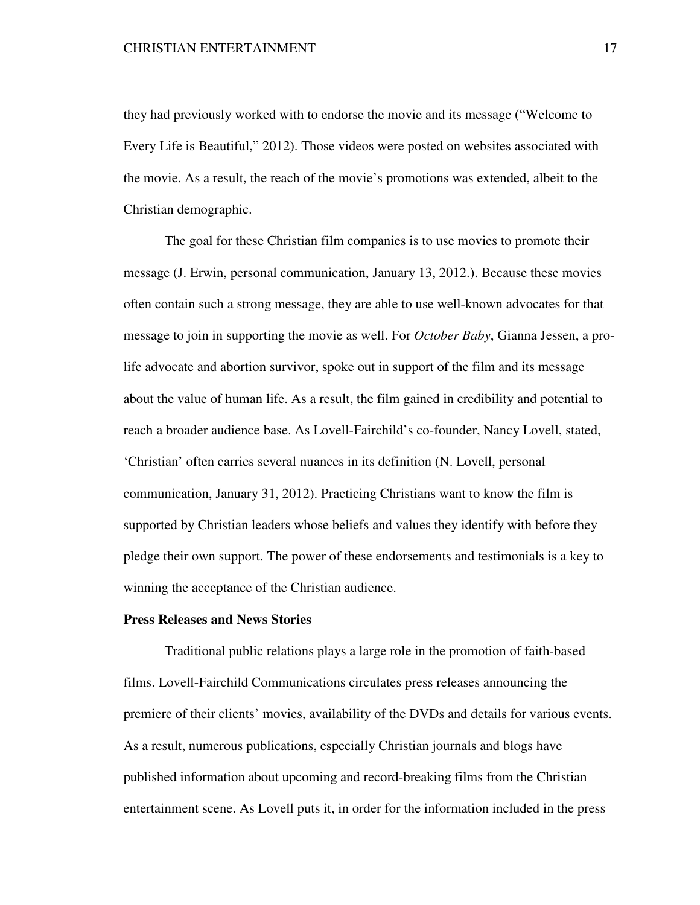they had previously worked with to endorse the movie and its message ("Welcome to Every Life is Beautiful," 2012). Those videos were posted on websites associated with the movie. As a result, the reach of the movie's promotions was extended, albeit to the Christian demographic.

 The goal for these Christian film companies is to use movies to promote their message (J. Erwin, personal communication, January 13, 2012.). Because these movies often contain such a strong message, they are able to use well-known advocates for that message to join in supporting the movie as well. For *October Baby*, Gianna Jessen, a prolife advocate and abortion survivor, spoke out in support of the film and its message about the value of human life. As a result, the film gained in credibility and potential to reach a broader audience base. As Lovell-Fairchild's co-founder, Nancy Lovell, stated, 'Christian' often carries several nuances in its definition (N. Lovell, personal communication, January 31, 2012). Practicing Christians want to know the film is supported by Christian leaders whose beliefs and values they identify with before they pledge their own support. The power of these endorsements and testimonials is a key to winning the acceptance of the Christian audience.

### **Press Releases and News Stories**

 Traditional public relations plays a large role in the promotion of faith-based films. Lovell-Fairchild Communications circulates press releases announcing the premiere of their clients' movies, availability of the DVDs and details for various events. As a result, numerous publications, especially Christian journals and blogs have published information about upcoming and record-breaking films from the Christian entertainment scene. As Lovell puts it, in order for the information included in the press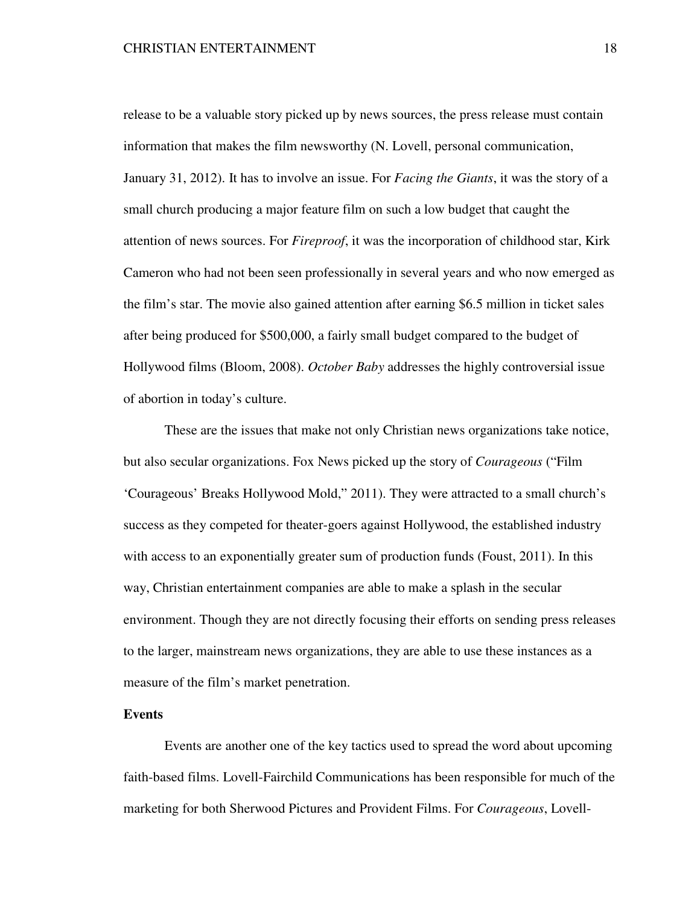release to be a valuable story picked up by news sources, the press release must contain information that makes the film newsworthy (N. Lovell, personal communication, January 31, 2012). It has to involve an issue. For *Facing the Giants*, it was the story of a small church producing a major feature film on such a low budget that caught the attention of news sources. For *Fireproof*, it was the incorporation of childhood star, Kirk Cameron who had not been seen professionally in several years and who now emerged as the film's star. The movie also gained attention after earning \$6.5 million in ticket sales after being produced for \$500,000, a fairly small budget compared to the budget of Hollywood films (Bloom, 2008). *October Baby* addresses the highly controversial issue of abortion in today's culture.

These are the issues that make not only Christian news organizations take notice, but also secular organizations. Fox News picked up the story of *Courageous* ("Film 'Courageous' Breaks Hollywood Mold," 2011). They were attracted to a small church's success as they competed for theater-goers against Hollywood, the established industry with access to an exponentially greater sum of production funds (Foust, 2011). In this way, Christian entertainment companies are able to make a splash in the secular environment. Though they are not directly focusing their efforts on sending press releases to the larger, mainstream news organizations, they are able to use these instances as a measure of the film's market penetration.

### **Events**

 Events are another one of the key tactics used to spread the word about upcoming faith-based films. Lovell-Fairchild Communications has been responsible for much of the marketing for both Sherwood Pictures and Provident Films. For *Courageous*, Lovell-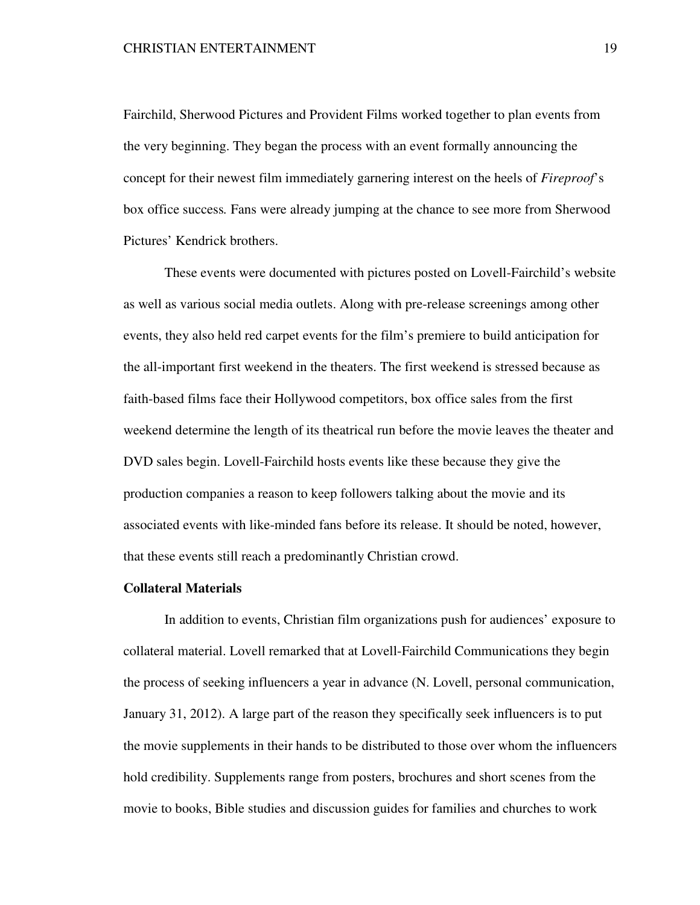Fairchild, Sherwood Pictures and Provident Films worked together to plan events from the very beginning. They began the process with an event formally announcing the concept for their newest film immediately garnering interest on the heels of *Fireproof*'s box office success*.* Fans were already jumping at the chance to see more from Sherwood Pictures' Kendrick brothers.

These events were documented with pictures posted on Lovell-Fairchild's website as well as various social media outlets. Along with pre-release screenings among other events, they also held red carpet events for the film's premiere to build anticipation for the all-important first weekend in the theaters. The first weekend is stressed because as faith-based films face their Hollywood competitors, box office sales from the first weekend determine the length of its theatrical run before the movie leaves the theater and DVD sales begin. Lovell-Fairchild hosts events like these because they give the production companies a reason to keep followers talking about the movie and its associated events with like-minded fans before its release. It should be noted, however, that these events still reach a predominantly Christian crowd.

# **Collateral Materials**

 In addition to events, Christian film organizations push for audiences' exposure to collateral material. Lovell remarked that at Lovell-Fairchild Communications they begin the process of seeking influencers a year in advance (N. Lovell, personal communication, January 31, 2012). A large part of the reason they specifically seek influencers is to put the movie supplements in their hands to be distributed to those over whom the influencers hold credibility. Supplements range from posters, brochures and short scenes from the movie to books, Bible studies and discussion guides for families and churches to work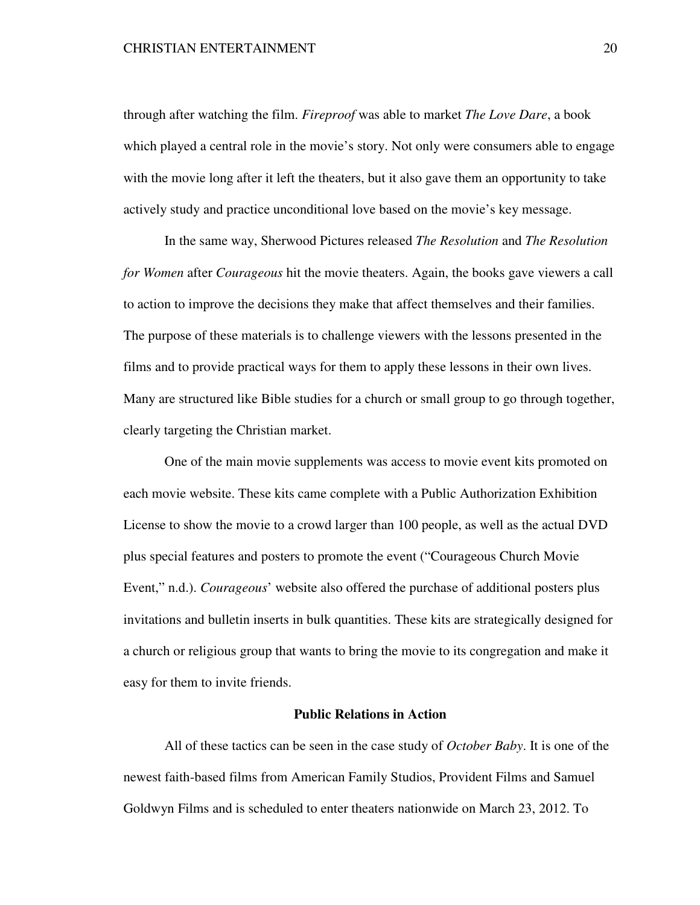through after watching the film. *Fireproof* was able to market *The Love Dare*, a book which played a central role in the movie's story. Not only were consumers able to engage with the movie long after it left the theaters, but it also gave them an opportunity to take actively study and practice unconditional love based on the movie's key message.

In the same way, Sherwood Pictures released *The Resolution* and *The Resolution for Women* after *Courageous* hit the movie theaters. Again, the books gave viewers a call to action to improve the decisions they make that affect themselves and their families. The purpose of these materials is to challenge viewers with the lessons presented in the films and to provide practical ways for them to apply these lessons in their own lives. Many are structured like Bible studies for a church or small group to go through together, clearly targeting the Christian market.

 One of the main movie supplements was access to movie event kits promoted on each movie website. These kits came complete with a Public Authorization Exhibition License to show the movie to a crowd larger than 100 people, as well as the actual DVD plus special features and posters to promote the event ("Courageous Church Movie Event," n.d.). *Courageous*' website also offered the purchase of additional posters plus invitations and bulletin inserts in bulk quantities. These kits are strategically designed for a church or religious group that wants to bring the movie to its congregation and make it easy for them to invite friends.

### **Public Relations in Action**

 All of these tactics can be seen in the case study of *October Baby*. It is one of the newest faith-based films from American Family Studios, Provident Films and Samuel Goldwyn Films and is scheduled to enter theaters nationwide on March 23, 2012. To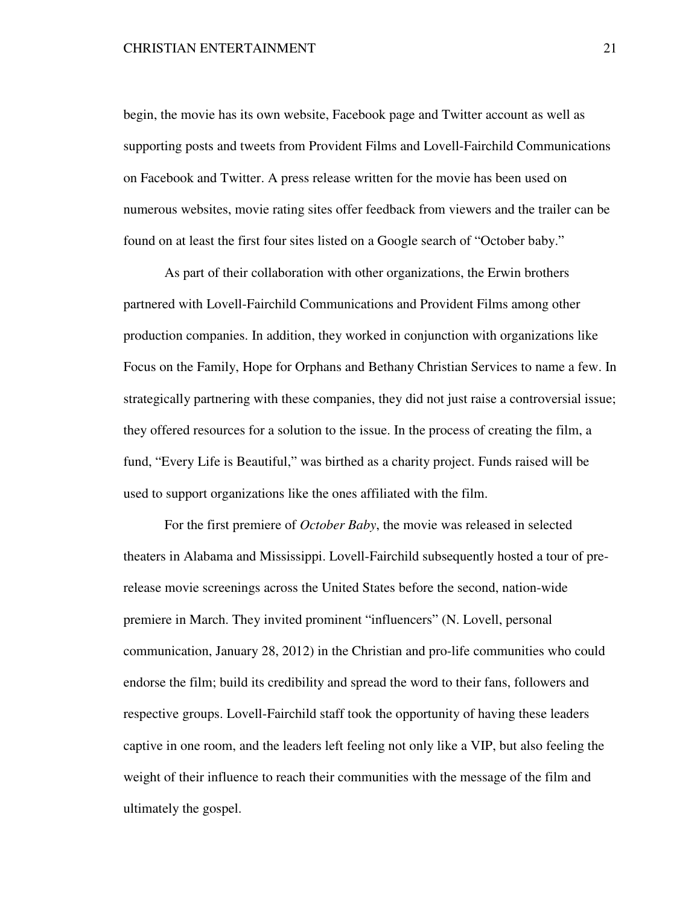begin, the movie has its own website, Facebook page and Twitter account as well as supporting posts and tweets from Provident Films and Lovell-Fairchild Communications on Facebook and Twitter. A press release written for the movie has been used on numerous websites, movie rating sites offer feedback from viewers and the trailer can be found on at least the first four sites listed on a Google search of "October baby."

 As part of their collaboration with other organizations, the Erwin brothers partnered with Lovell-Fairchild Communications and Provident Films among other production companies. In addition, they worked in conjunction with organizations like Focus on the Family, Hope for Orphans and Bethany Christian Services to name a few. In strategically partnering with these companies, they did not just raise a controversial issue; they offered resources for a solution to the issue. In the process of creating the film, a fund, "Every Life is Beautiful," was birthed as a charity project. Funds raised will be used to support organizations like the ones affiliated with the film.

 For the first premiere of *October Baby*, the movie was released in selected theaters in Alabama and Mississippi. Lovell-Fairchild subsequently hosted a tour of prerelease movie screenings across the United States before the second, nation-wide premiere in March. They invited prominent "influencers" (N. Lovell, personal communication, January 28, 2012) in the Christian and pro-life communities who could endorse the film; build its credibility and spread the word to their fans, followers and respective groups. Lovell-Fairchild staff took the opportunity of having these leaders captive in one room, and the leaders left feeling not only like a VIP, but also feeling the weight of their influence to reach their communities with the message of the film and ultimately the gospel.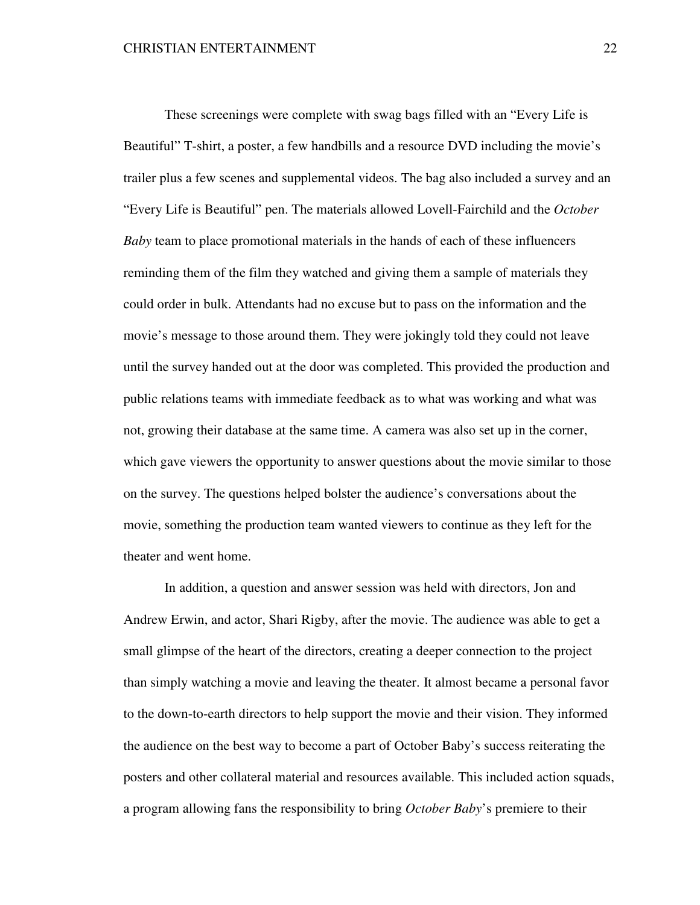These screenings were complete with swag bags filled with an "Every Life is Beautiful" T-shirt, a poster, a few handbills and a resource DVD including the movie's trailer plus a few scenes and supplemental videos. The bag also included a survey and an "Every Life is Beautiful" pen. The materials allowed Lovell-Fairchild and the *October Baby* team to place promotional materials in the hands of each of these influencers reminding them of the film they watched and giving them a sample of materials they could order in bulk. Attendants had no excuse but to pass on the information and the movie's message to those around them. They were jokingly told they could not leave until the survey handed out at the door was completed. This provided the production and public relations teams with immediate feedback as to what was working and what was not, growing their database at the same time. A camera was also set up in the corner, which gave viewers the opportunity to answer questions about the movie similar to those on the survey. The questions helped bolster the audience's conversations about the movie, something the production team wanted viewers to continue as they left for the theater and went home.

 In addition, a question and answer session was held with directors, Jon and Andrew Erwin, and actor, Shari Rigby, after the movie. The audience was able to get a small glimpse of the heart of the directors, creating a deeper connection to the project than simply watching a movie and leaving the theater. It almost became a personal favor to the down-to-earth directors to help support the movie and their vision. They informed the audience on the best way to become a part of October Baby's success reiterating the posters and other collateral material and resources available. This included action squads, a program allowing fans the responsibility to bring *October Baby*'s premiere to their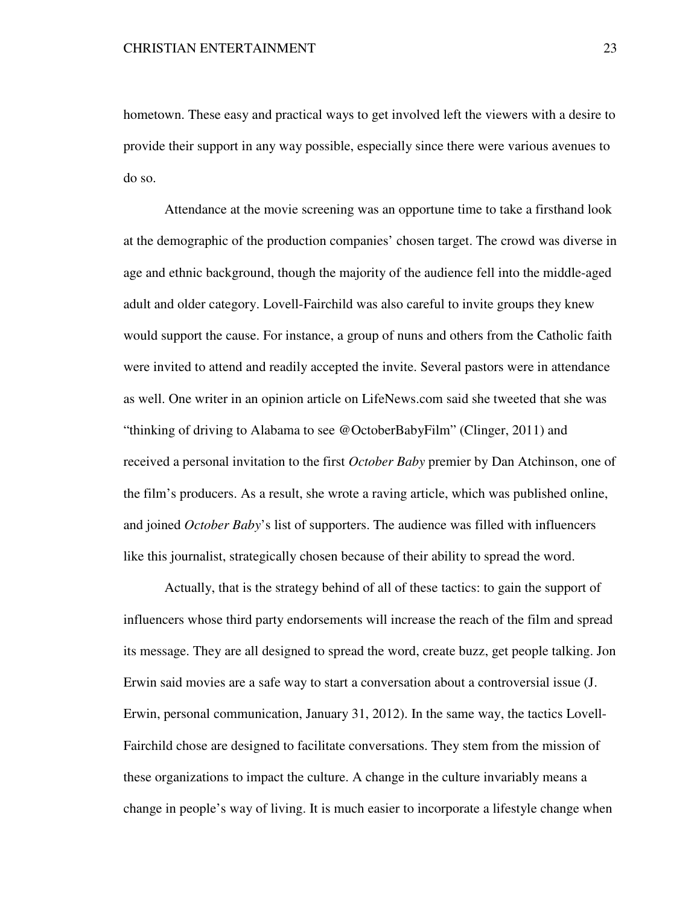hometown. These easy and practical ways to get involved left the viewers with a desire to provide their support in any way possible, especially since there were various avenues to do so.

 Attendance at the movie screening was an opportune time to take a firsthand look at the demographic of the production companies' chosen target. The crowd was diverse in age and ethnic background, though the majority of the audience fell into the middle-aged adult and older category. Lovell-Fairchild was also careful to invite groups they knew would support the cause. For instance, a group of nuns and others from the Catholic faith were invited to attend and readily accepted the invite. Several pastors were in attendance as well. One writer in an opinion article on LifeNews.com said she tweeted that she was "thinking of driving to Alabama to see @OctoberBabyFilm" (Clinger, 2011) and received a personal invitation to the first *October Baby* premier by Dan Atchinson, one of the film's producers. As a result, she wrote a raving article, which was published online, and joined *October Baby*'s list of supporters. The audience was filled with influencers like this journalist, strategically chosen because of their ability to spread the word.

 Actually, that is the strategy behind of all of these tactics: to gain the support of influencers whose third party endorsements will increase the reach of the film and spread its message. They are all designed to spread the word, create buzz, get people talking. Jon Erwin said movies are a safe way to start a conversation about a controversial issue (J. Erwin, personal communication, January 31, 2012). In the same way, the tactics Lovell-Fairchild chose are designed to facilitate conversations. They stem from the mission of these organizations to impact the culture. A change in the culture invariably means a change in people's way of living. It is much easier to incorporate a lifestyle change when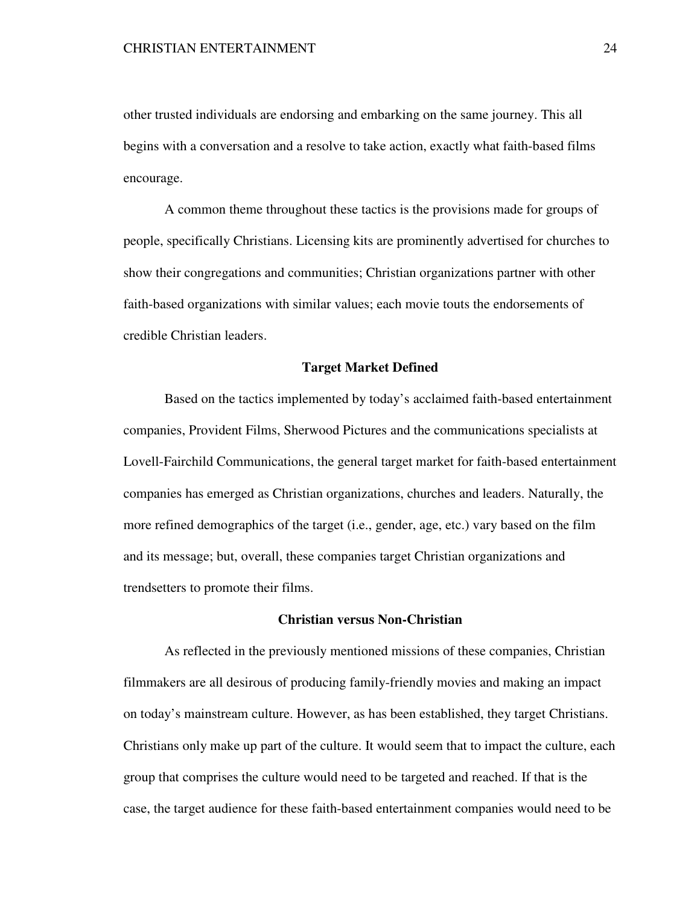other trusted individuals are endorsing and embarking on the same journey. This all begins with a conversation and a resolve to take action, exactly what faith-based films encourage.

 A common theme throughout these tactics is the provisions made for groups of people, specifically Christians. Licensing kits are prominently advertised for churches to show their congregations and communities; Christian organizations partner with other faith-based organizations with similar values; each movie touts the endorsements of credible Christian leaders.

### **Target Market Defined**

 Based on the tactics implemented by today's acclaimed faith-based entertainment companies, Provident Films, Sherwood Pictures and the communications specialists at Lovell-Fairchild Communications, the general target market for faith-based entertainment companies has emerged as Christian organizations, churches and leaders. Naturally, the more refined demographics of the target (i.e., gender, age, etc.) vary based on the film and its message; but, overall, these companies target Christian organizations and trendsetters to promote their films.

## **Christian versus Non-Christian**

As reflected in the previously mentioned missions of these companies, Christian filmmakers are all desirous of producing family-friendly movies and making an impact on today's mainstream culture. However, as has been established, they target Christians. Christians only make up part of the culture. It would seem that to impact the culture, each group that comprises the culture would need to be targeted and reached. If that is the case, the target audience for these faith-based entertainment companies would need to be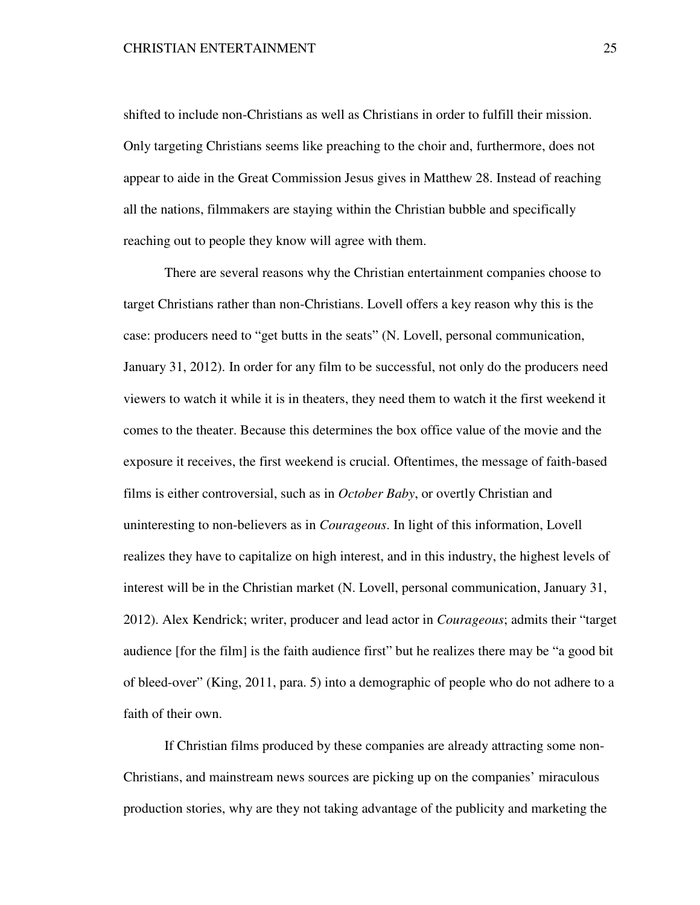shifted to include non-Christians as well as Christians in order to fulfill their mission. Only targeting Christians seems like preaching to the choir and, furthermore, does not appear to aide in the Great Commission Jesus gives in Matthew 28. Instead of reaching all the nations, filmmakers are staying within the Christian bubble and specifically reaching out to people they know will agree with them.

There are several reasons why the Christian entertainment companies choose to target Christians rather than non-Christians. Lovell offers a key reason why this is the case: producers need to "get butts in the seats" (N. Lovell, personal communication, January 31, 2012). In order for any film to be successful, not only do the producers need viewers to watch it while it is in theaters, they need them to watch it the first weekend it comes to the theater. Because this determines the box office value of the movie and the exposure it receives, the first weekend is crucial. Oftentimes, the message of faith-based films is either controversial, such as in *October Baby*, or overtly Christian and uninteresting to non-believers as in *Courageous*. In light of this information, Lovell realizes they have to capitalize on high interest, and in this industry, the highest levels of interest will be in the Christian market (N. Lovell, personal communication, January 31, 2012). Alex Kendrick; writer, producer and lead actor in *Courageous*; admits their "target audience [for the film] is the faith audience first" but he realizes there may be "a good bit of bleed-over" (King, 2011, para. 5) into a demographic of people who do not adhere to a faith of their own.

If Christian films produced by these companies are already attracting some non-Christians, and mainstream news sources are picking up on the companies' miraculous production stories, why are they not taking advantage of the publicity and marketing the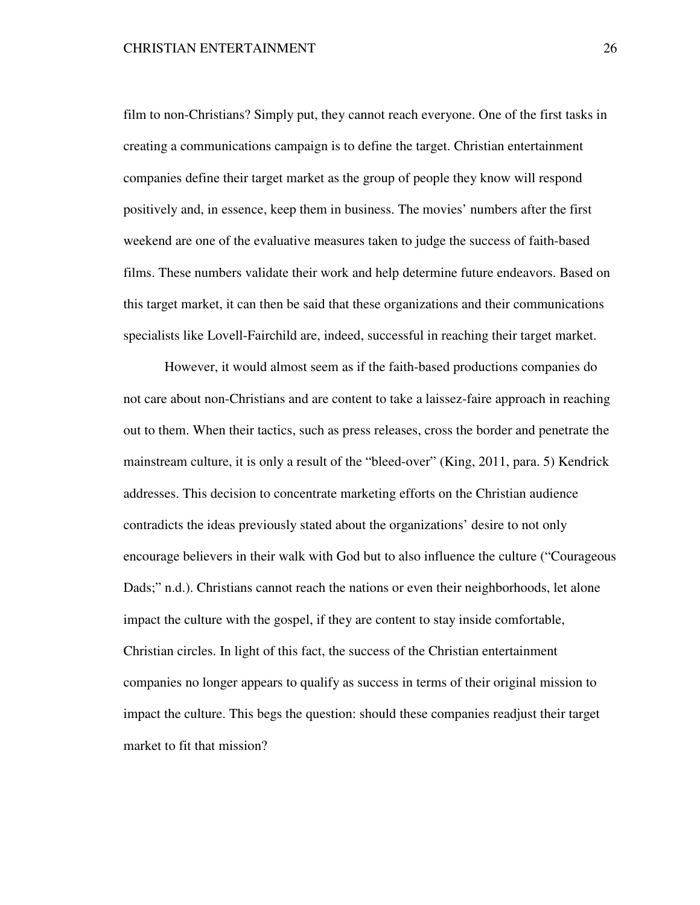film to non-Christians? Simply put, they cannot reach everyone. One of the first tasks in creating a communications campaign is to define the target. Christian entertainment companies define their target market as the group of people they know will respond positively and, in essence, keep them in business. The movies' numbers after the first weekend are one of the evaluative measures taken to judge the success of faith-based films. These numbers validate their work and help determine future endeavors. Based on this target market, it can then be said that these organizations and their communications specialists like Lovell-Fairchild are, indeed, successful in reaching their target market.

However, it would almost seem as if the faith-based productions companies do not care about non-Christians and are content to take a laissez-faire approach in reaching out to them. When their tactics, such as press releases, cross the border and penetrate the mainstream culture, it is only a result of the "bleed-over" (King, 2011, para. 5) Kendrick addresses. This decision to concentrate marketing efforts on the Christian audience contradicts the ideas previously stated about the organizations' desire to not only encourage believers in their walk with God but to also influence the culture ("Courageous Dads;" n.d.). Christians cannot reach the nations or even their neighborhoods, let alone impact the culture with the gospel, if they are content to stay inside comfortable, Christian circles. In light of this fact, the success of the Christian entertainment companies no longer appears to qualify as success in terms of their original mission to impact the culture. This begs the question: should these companies readjust their target market to fit that mission?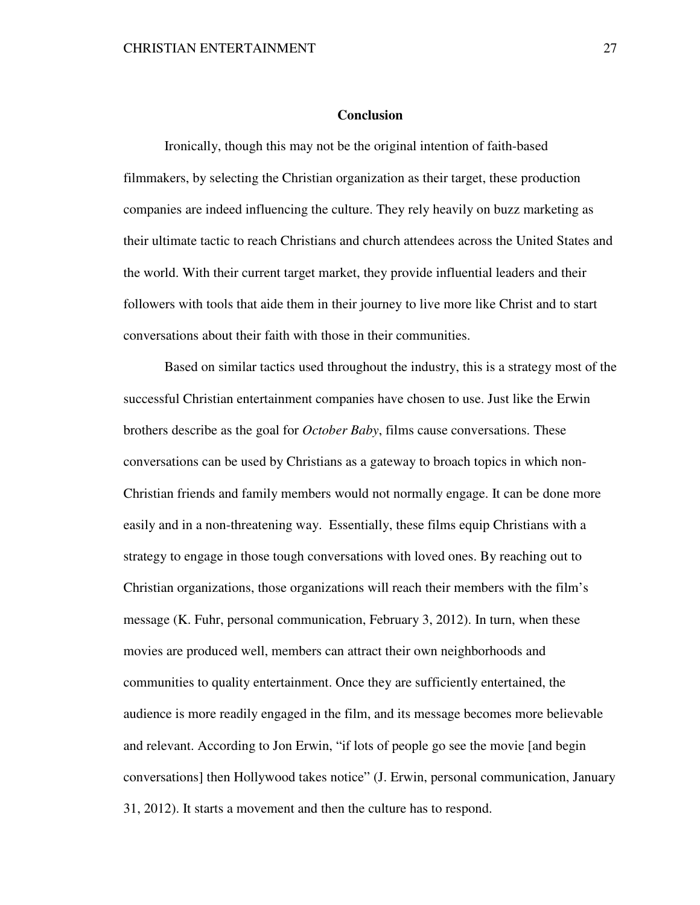#### **Conclusion**

 Ironically, though this may not be the original intention of faith-based filmmakers, by selecting the Christian organization as their target, these production companies are indeed influencing the culture. They rely heavily on buzz marketing as their ultimate tactic to reach Christians and church attendees across the United States and the world. With their current target market, they provide influential leaders and their followers with tools that aide them in their journey to live more like Christ and to start conversations about their faith with those in their communities.

Based on similar tactics used throughout the industry, this is a strategy most of the successful Christian entertainment companies have chosen to use. Just like the Erwin brothers describe as the goal for *October Baby*, films cause conversations. These conversations can be used by Christians as a gateway to broach topics in which non-Christian friends and family members would not normally engage. It can be done more easily and in a non-threatening way. Essentially, these films equip Christians with a strategy to engage in those tough conversations with loved ones. By reaching out to Christian organizations, those organizations will reach their members with the film's message (K. Fuhr, personal communication, February 3, 2012). In turn, when these movies are produced well, members can attract their own neighborhoods and communities to quality entertainment. Once they are sufficiently entertained, the audience is more readily engaged in the film, and its message becomes more believable and relevant. According to Jon Erwin, "if lots of people go see the movie [and begin conversations] then Hollywood takes notice" (J. Erwin, personal communication, January 31, 2012). It starts a movement and then the culture has to respond.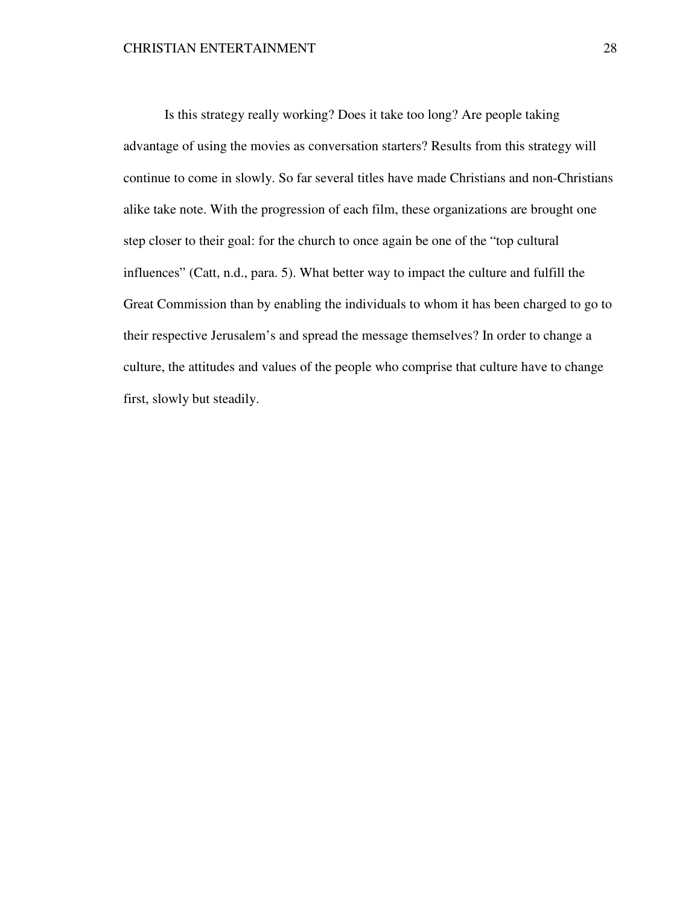Is this strategy really working? Does it take too long? Are people taking advantage of using the movies as conversation starters? Results from this strategy will continue to come in slowly. So far several titles have made Christians and non-Christians alike take note. With the progression of each film, these organizations are brought one step closer to their goal: for the church to once again be one of the "top cultural influences" (Catt, n.d., para. 5). What better way to impact the culture and fulfill the Great Commission than by enabling the individuals to whom it has been charged to go to their respective Jerusalem's and spread the message themselves? In order to change a culture, the attitudes and values of the people who comprise that culture have to change first, slowly but steadily.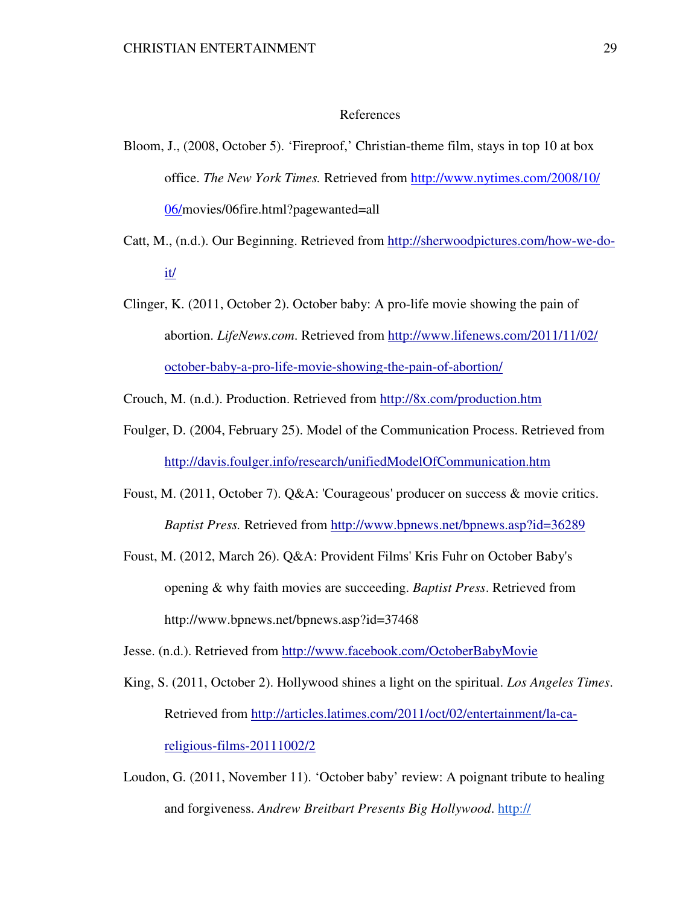#### References

- Bloom, J., (2008, October 5). 'Fireproof,' Christian-theme film, stays in top 10 at box office. *The New York Times.* Retrieved from http://www.nytimes.com/2008/10/ 06/movies/06fire.html?pagewanted=all
- Catt, M., (n.d.). Our Beginning. Retrieved from http://sherwoodpictures.com/how-we-do it/
- Clinger, K. (2011, October 2). October baby: A pro-life movie showing the pain of abortion. *LifeNews.com*. Retrieved from http://www.lifenews.com/2011/11/02/ october-baby-a-pro-life-movie-showing-the-pain-of-abortion/

Crouch, M. (n.d.). Production. Retrieved from http://8x.com/production.htm

- Foulger, D. (2004, February 25). Model of the Communication Process. Retrieved from http://davis.foulger.info/research/unifiedModelOfCommunication.htm
- Foust, M. (2011, October 7). Q&A: 'Courageous' producer on success & movie critics. *Baptist Press.* Retrieved from http://www.bpnews.net/bpnews.asp?id=36289
- Foust, M. (2012, March 26). Q&A: Provident Films' Kris Fuhr on October Baby's opening & why faith movies are succeeding. *Baptist Press*. Retrieved from http://www.bpnews.net/bpnews.asp?id=37468

Jesse. (n.d.). Retrieved from http://www.facebook.com/OctoberBabyMovie

- King, S. (2011, October 2). Hollywood shines a light on the spiritual. *Los Angeles Times*. Retrieved from http://articles.latimes.com/2011/oct/02/entertainment/la-ca religious-films-20111002/2
- Loudon, G. (2011, November 11). 'October baby' review: A poignant tribute to healing and forgiveness. *Andrew Breitbart Presents Big Hollywood*. http://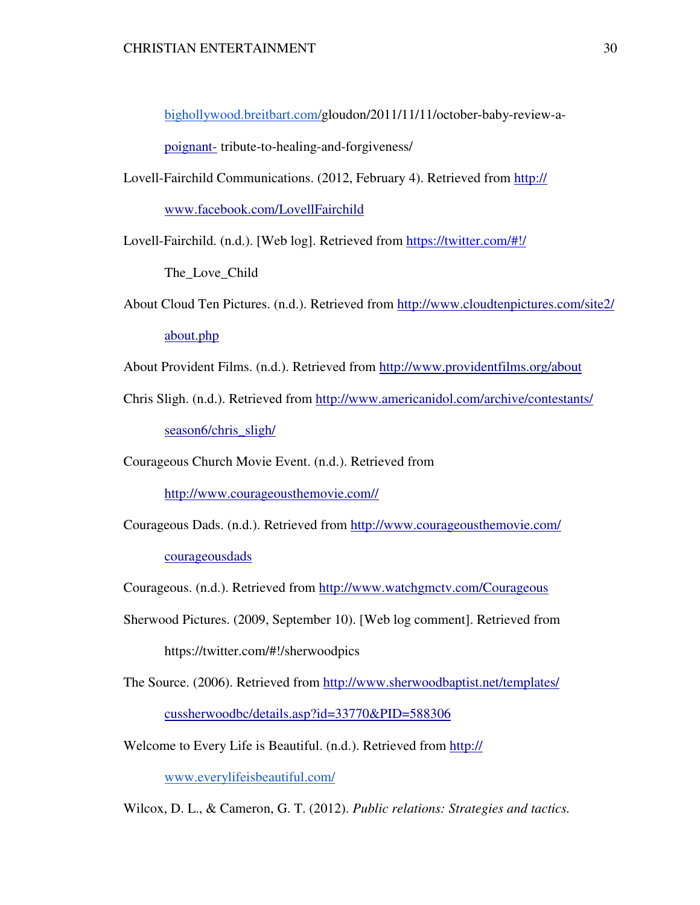bighollywood.breitbart.com/gloudon/2011/11/11/october-baby-review-a-

poignant- tribute-to-healing-and-forgiveness/

Lovell-Fairchild Communications. (2012, February 4). Retrieved from http://

www.facebook.com/LovellFairchild

Lovell-Fairchild. (n.d.). [Web log]. Retrieved from https://twitter.com/#!/

The Love Child

About Cloud Ten Pictures. (n.d.). Retrieved from http://www.cloudtenpictures.com/site2/ about.php

About Provident Films. (n.d.). Retrieved from http://www.providentfilms.org/about

Chris Sligh. (n.d.). Retrieved from http://www.americanidol.com/archive/contestants/ season6/chris\_sligh/

Courageous Church Movie Event. (n.d.). Retrieved from

http://www.courageousthemovie.com//

- Courageous Dads. (n.d.). Retrieved from http://www.courageousthemovie.com/ courageousdads
- Courageous. (n.d.). Retrieved from http://www.watchgmctv.com/Courageous
- Sherwood Pictures. (2009, September 10). [Web log comment]. Retrieved from https://twitter.com/#!/sherwoodpics
- The Source. (2006). Retrieved from http://www.sherwoodbaptist.net/templates/ cussherwoodbc/details.asp?id=33770&PID=588306
- Welcome to Every Life is Beautiful. (n.d.). Retrieved from http://

www.everylifeisbeautiful.com/

Wilcox, D. L., & Cameron, G. T. (2012). *Public relations: Strategies and tactics.*